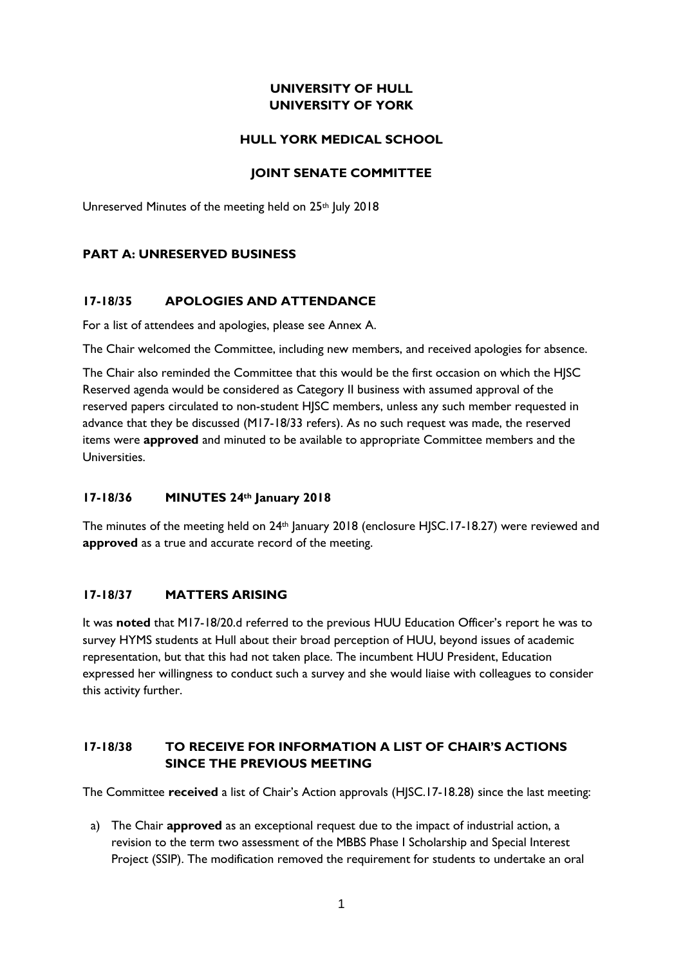## **UNIVERSITY OF HULL UNIVERSITY OF YORK**

### **HULL YORK MEDICAL SCHOOL**

### **JOINT SENATE COMMITTEE**

Unreserved Minutes of the meeting held on 25<sup>th</sup> July 2018

### **PART A: UNRESERVED BUSINESS**

### **17-18/35 APOLOGIES AND ATTENDANCE**

For a list of attendees and apologies, please see Annex A.

The Chair welcomed the Committee, including new members, and received apologies for absence.

The Chair also reminded the Committee that this would be the first occasion on which the HJSC Reserved agenda would be considered as Category II business with assumed approval of the reserved papers circulated to non-student HJSC members, unless any such member requested in advance that they be discussed (M17-18/33 refers). As no such request was made, the reserved items were **approved** and minuted to be available to appropriate Committee members and the Universities.

### **17-18/36 MINUTES 24th January 2018**

The minutes of the meeting held on 24<sup>th</sup> January 2018 (enclosure HJSC.17-18.27) were reviewed and **approved** as a true and accurate record of the meeting.

### **17-18/37 MATTERS ARISING**

It was **noted** that M17-18/20.d referred to the previous HUU Education Officer's report he was to survey HYMS students at Hull about their broad perception of HUU, beyond issues of academic representation, but that this had not taken place. The incumbent HUU President, Education expressed her willingness to conduct such a survey and she would liaise with colleagues to consider this activity further.

## **17-18/38 TO RECEIVE FOR INFORMATION A LIST OF CHAIR'S ACTIONS SINCE THE PREVIOUS MEETING**

The Committee **received** a list of Chair's Action approvals (HJSC.17-18.28) since the last meeting:

a) The Chair **approved** as an exceptional request due to the impact of industrial action, a revision to the term two assessment of the MBBS Phase I Scholarship and Special Interest Project (SSIP). The modification removed the requirement for students to undertake an oral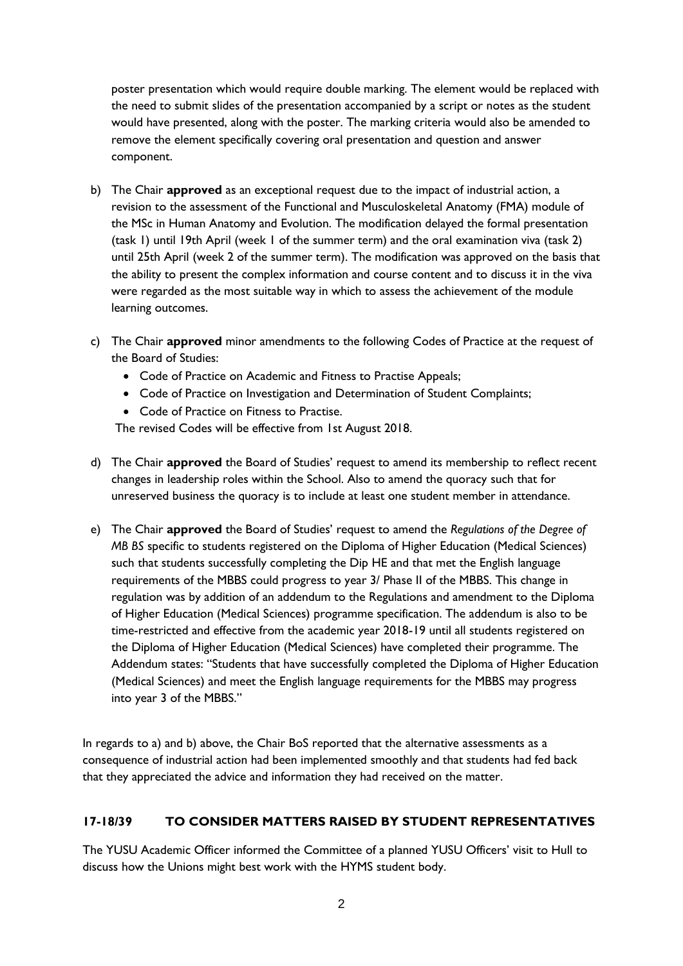poster presentation which would require double marking. The element would be replaced with the need to submit slides of the presentation accompanied by a script or notes as the student would have presented, along with the poster. The marking criteria would also be amended to remove the element specifically covering oral presentation and question and answer component.

- b) The Chair **approved** as an exceptional request due to the impact of industrial action, a revision to the assessment of the Functional and Musculoskeletal Anatomy (FMA) module of the MSc in Human Anatomy and Evolution. The modification delayed the formal presentation (task 1) until 19th April (week 1 of the summer term) and the oral examination viva (task 2) until 25th April (week 2 of the summer term). The modification was approved on the basis that the ability to present the complex information and course content and to discuss it in the viva were regarded as the most suitable way in which to assess the achievement of the module learning outcomes.
- c) The Chair **approved** minor amendments to the following Codes of Practice at the request of the Board of Studies:
	- Code of Practice on Academic and Fitness to Practise Appeals;
	- Code of Practice on Investigation and Determination of Student Complaints;
	- Code of Practice on Fitness to Practise.

The revised Codes will be effective from 1st August 2018.

- d) The Chair **approved** the Board of Studies' request to amend its membership to reflect recent changes in leadership roles within the School. Also to amend the quoracy such that for unreserved business the quoracy is to include at least one student member in attendance.
- e) The Chair **approved** the Board of Studies' request to amend the *Regulations of the Degree of MB BS* specific to students registered on the Diploma of Higher Education (Medical Sciences) such that students successfully completing the Dip HE and that met the English language requirements of the MBBS could progress to year 3/ Phase II of the MBBS. This change in regulation was by addition of an addendum to the Regulations and amendment to the Diploma of Higher Education (Medical Sciences) programme specification. The addendum is also to be time-restricted and effective from the academic year 2018-19 until all students registered on the Diploma of Higher Education (Medical Sciences) have completed their programme. The Addendum states: "Students that have successfully completed the Diploma of Higher Education (Medical Sciences) and meet the English language requirements for the MBBS may progress into year 3 of the MBBS."

In regards to a) and b) above, the Chair BoS reported that the alternative assessments as a consequence of industrial action had been implemented smoothly and that students had fed back that they appreciated the advice and information they had received on the matter.

## **17-18/39 TO CONSIDER MATTERS RAISED BY STUDENT REPRESENTATIVES**

The YUSU Academic Officer informed the Committee of a planned YUSU Officers' visit to Hull to discuss how the Unions might best work with the HYMS student body.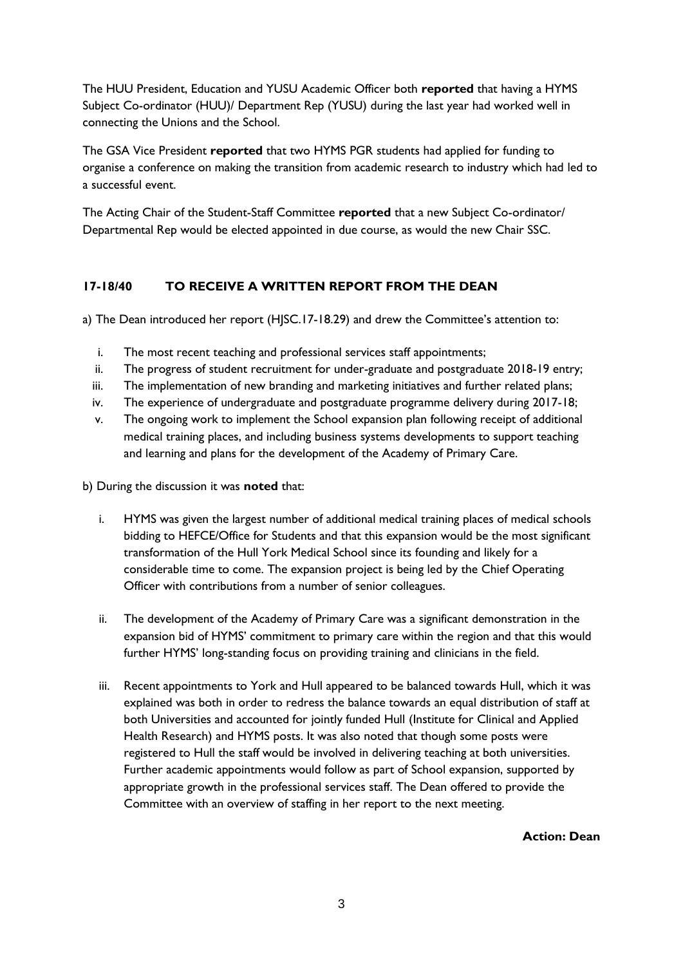The HUU President, Education and YUSU Academic Officer both **reported** that having a HYMS Subject Co-ordinator (HUU)/ Department Rep (YUSU) during the last year had worked well in connecting the Unions and the School.

The GSA Vice President **reported** that two HYMS PGR students had applied for funding to organise a conference on making the transition from academic research to industry which had led to a successful event.

The Acting Chair of the Student-Staff Committee **reported** that a new Subject Co-ordinator/ Departmental Rep would be elected appointed in due course, as would the new Chair SSC.

## **17-18/40 TO RECEIVE A WRITTEN REPORT FROM THE DEAN**

a) The Dean introduced her report (HJSC.17-18.29) and drew the Committee's attention to:

- i. The most recent teaching and professional services staff appointments;
- ii. The progress of student recruitment for under-graduate and postgraduate 2018-19 entry;
- iii. The implementation of new branding and marketing initiatives and further related plans;
- iv. The experience of undergraduate and postgraduate programme delivery during 2017-18;
- v. The ongoing work to implement the School expansion plan following receipt of additional medical training places, and including business systems developments to support teaching and learning and plans for the development of the Academy of Primary Care.
- b) During the discussion it was **noted** that:
	- i. HYMS was given the largest number of additional medical training places of medical schools bidding to HEFCE/Office for Students and that this expansion would be the most significant transformation of the Hull York Medical School since its founding and likely for a considerable time to come. The expansion project is being led by the Chief Operating Officer with contributions from a number of senior colleagues.
	- ii. The development of the Academy of Primary Care was a significant demonstration in the expansion bid of HYMS' commitment to primary care within the region and that this would further HYMS' long-standing focus on providing training and clinicians in the field.
	- iii. Recent appointments to York and Hull appeared to be balanced towards Hull, which it was explained was both in order to redress the balance towards an equal distribution of staff at both Universities and accounted for jointly funded Hull (Institute for Clinical and Applied Health Research) and HYMS posts. It was also noted that though some posts were registered to Hull the staff would be involved in delivering teaching at both universities. Further academic appointments would follow as part of School expansion, supported by appropriate growth in the professional services staff. The Dean offered to provide the Committee with an overview of staffing in her report to the next meeting.

**Action: Dean**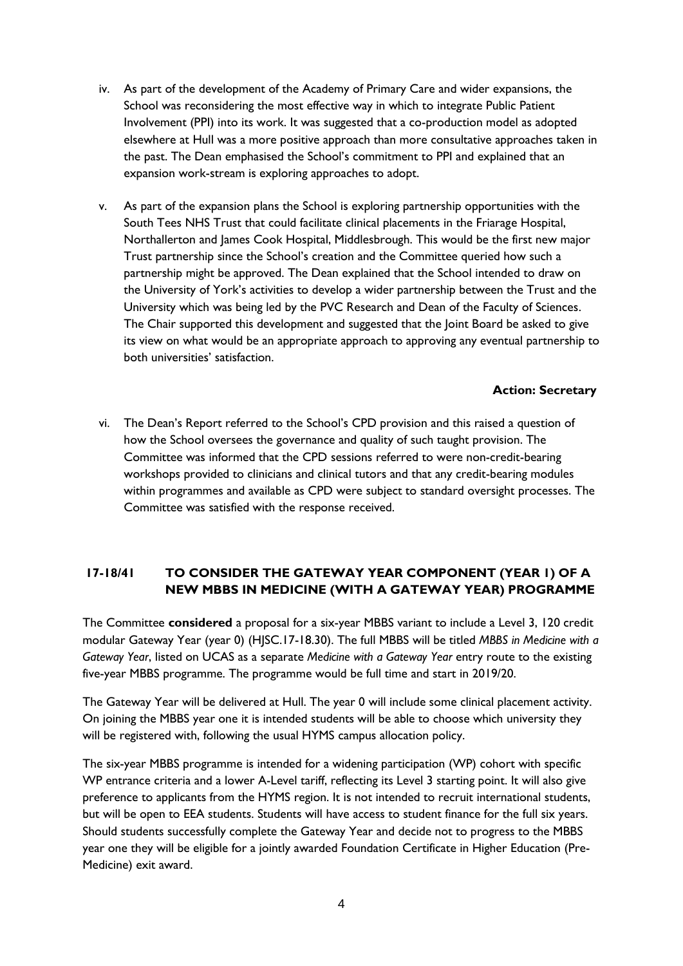- iv. As part of the development of the Academy of Primary Care and wider expansions, the School was reconsidering the most effective way in which to integrate Public Patient Involvement (PPI) into its work. It was suggested that a co-production model as adopted elsewhere at Hull was a more positive approach than more consultative approaches taken in the past. The Dean emphasised the School's commitment to PPI and explained that an expansion work-stream is exploring approaches to adopt.
- v. As part of the expansion plans the School is exploring partnership opportunities with the South Tees NHS Trust that could facilitate clinical placements in the Friarage Hospital, Northallerton and James Cook Hospital, Middlesbrough. This would be the first new major Trust partnership since the School's creation and the Committee queried how such a partnership might be approved. The Dean explained that the School intended to draw on the University of York's activities to develop a wider partnership between the Trust and the University which was being led by the PVC Research and Dean of the Faculty of Sciences. The Chair supported this development and suggested that the Joint Board be asked to give its view on what would be an appropriate approach to approving any eventual partnership to both universities' satisfaction.

### **Action: Secretary**

vi. The Dean's Report referred to the School's CPD provision and this raised a question of how the School oversees the governance and quality of such taught provision. The Committee was informed that the CPD sessions referred to were non-credit-bearing workshops provided to clinicians and clinical tutors and that any credit-bearing modules within programmes and available as CPD were subject to standard oversight processes. The Committee was satisfied with the response received.

# **17-18/41 TO CONSIDER THE GATEWAY YEAR COMPONENT (YEAR 1) OF A NEW MBBS IN MEDICINE (WITH A GATEWAY YEAR) PROGRAMME**

The Committee **considered** a proposal for a six-year MBBS variant to include a Level 3, 120 credit modular Gateway Year (year 0) (HJSC.17-18.30). The full MBBS will be titled *MBBS in Medicine with a Gateway Year*, listed on UCAS as a separate *Medicine with a Gateway Year* entry route to the existing five-year MBBS programme. The programme would be full time and start in 2019/20.

The Gateway Year will be delivered at Hull. The year 0 will include some clinical placement activity. On joining the MBBS year one it is intended students will be able to choose which university they will be registered with, following the usual HYMS campus allocation policy.

The six-year MBBS programme is intended for a widening participation (WP) cohort with specific WP entrance criteria and a lower A-Level tariff, reflecting its Level 3 starting point. It will also give preference to applicants from the HYMS region. It is not intended to recruit international students, but will be open to EEA students. Students will have access to student finance for the full six years. Should students successfully complete the Gateway Year and decide not to progress to the MBBS year one they will be eligible for a jointly awarded Foundation Certificate in Higher Education (Pre-Medicine) exit award.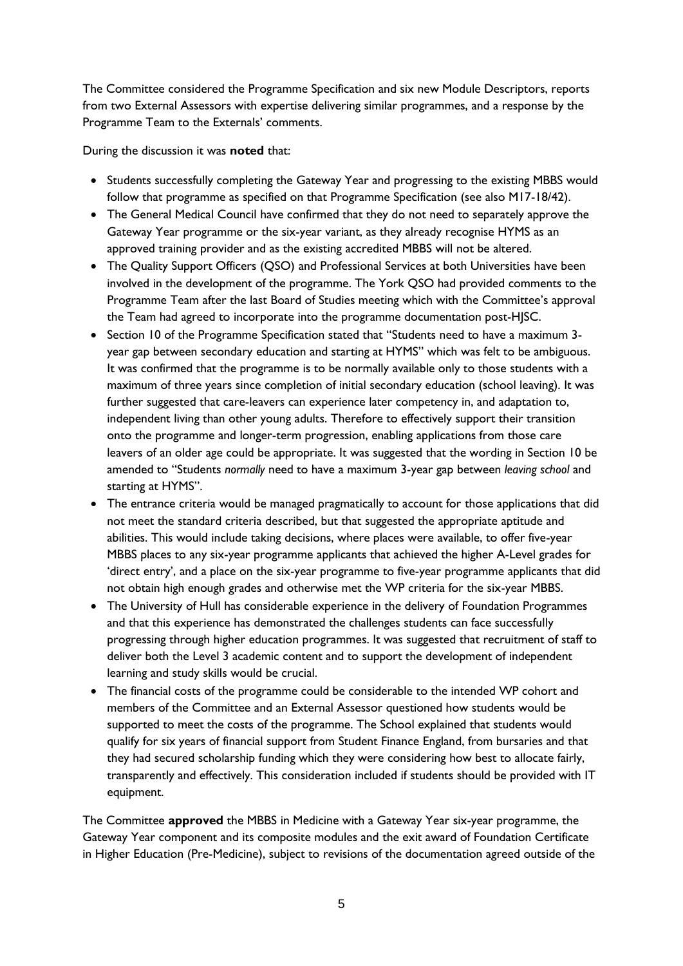The Committee considered the Programme Specification and six new Module Descriptors, reports from two External Assessors with expertise delivering similar programmes, and a response by the Programme Team to the Externals' comments.

During the discussion it was **noted** that:

- Students successfully completing the Gateway Year and progressing to the existing MBBS would follow that programme as specified on that Programme Specification (see also M17-18/42).
- The General Medical Council have confirmed that they do not need to separately approve the Gateway Year programme or the six-year variant, as they already recognise HYMS as an approved training provider and as the existing accredited MBBS will not be altered.
- The Quality Support Officers (QSO) and Professional Services at both Universities have been involved in the development of the programme. The York QSO had provided comments to the Programme Team after the last Board of Studies meeting which with the Committee's approval the Team had agreed to incorporate into the programme documentation post-HJSC.
- Section 10 of the Programme Specification stated that "Students need to have a maximum 3 year gap between secondary education and starting at HYMS" which was felt to be ambiguous. It was confirmed that the programme is to be normally available only to those students with a maximum of three years since completion of initial secondary education (school leaving). It was further suggested that care-leavers can experience later competency in, and adaptation to, independent living than other young adults. Therefore to effectively support their transition onto the programme and longer-term progression, enabling applications from those care leavers of an older age could be appropriate. It was suggested that the wording in Section 10 be amended to "Students *normally* need to have a maximum 3-year gap between *leaving school* and starting at HYMS".
- The entrance criteria would be managed pragmatically to account for those applications that did not meet the standard criteria described, but that suggested the appropriate aptitude and abilities. This would include taking decisions, where places were available, to offer five-year MBBS places to any six-year programme applicants that achieved the higher A-Level grades for 'direct entry', and a place on the six-year programme to five-year programme applicants that did not obtain high enough grades and otherwise met the WP criteria for the six-year MBBS.
- The University of Hull has considerable experience in the delivery of Foundation Programmes and that this experience has demonstrated the challenges students can face successfully progressing through higher education programmes. It was suggested that recruitment of staff to deliver both the Level 3 academic content and to support the development of independent learning and study skills would be crucial.
- The financial costs of the programme could be considerable to the intended WP cohort and members of the Committee and an External Assessor questioned how students would be supported to meet the costs of the programme. The School explained that students would qualify for six years of financial support from Student Finance England, from bursaries and that they had secured scholarship funding which they were considering how best to allocate fairly, transparently and effectively. This consideration included if students should be provided with IT equipment.

The Committee **approved** the MBBS in Medicine with a Gateway Year six-year programme, the Gateway Year component and its composite modules and the exit award of Foundation Certificate in Higher Education (Pre-Medicine), subject to revisions of the documentation agreed outside of the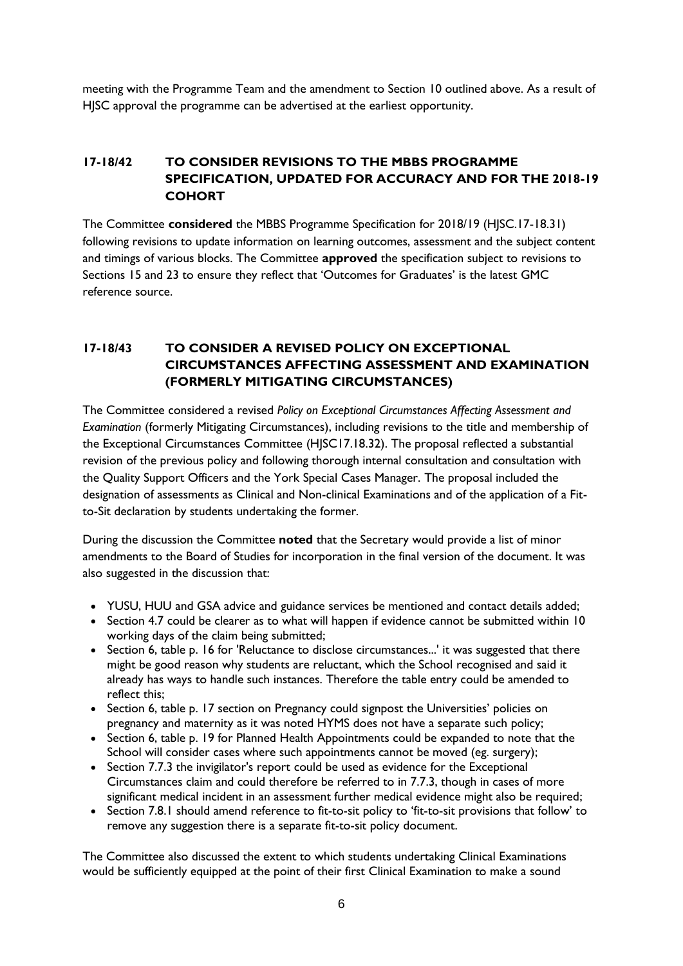meeting with the Programme Team and the amendment to Section 10 outlined above. As a result of HJSC approval the programme can be advertised at the earliest opportunity.

## **17-18/42 TO CONSIDER REVISIONS TO THE MBBS PROGRAMME SPECIFICATION, UPDATED FOR ACCURACY AND FOR THE 2018-19 COHORT**

The Committee **considered** the MBBS Programme Specification for 2018/19 (HJSC.17-18.31) following revisions to update information on learning outcomes, assessment and the subject content and timings of various blocks. The Committee **approved** the specification subject to revisions to Sections 15 and 23 to ensure they reflect that 'Outcomes for Graduates' is the latest GMC reference source.

## **17-18/43 TO CONSIDER A REVISED POLICY ON EXCEPTIONAL CIRCUMSTANCES AFFECTING ASSESSMENT AND EXAMINATION (FORMERLY MITIGATING CIRCUMSTANCES)**

The Committee considered a revised *Policy on Exceptional Circumstances Affecting Assessment and Examination* (formerly Mitigating Circumstances), including revisions to the title and membership of the Exceptional Circumstances Committee (HJSC17.18.32). The proposal reflected a substantial revision of the previous policy and following thorough internal consultation and consultation with the Quality Support Officers and the York Special Cases Manager. The proposal included the designation of assessments as Clinical and Non-clinical Examinations and of the application of a Fitto-Sit declaration by students undertaking the former.

During the discussion the Committee **noted** that the Secretary would provide a list of minor amendments to the Board of Studies for incorporation in the final version of the document. It was also suggested in the discussion that:

- YUSU, HUU and GSA advice and guidance services be mentioned and contact details added;
- Section 4.7 could be clearer as to what will happen if evidence cannot be submitted within 10 working days of the claim being submitted;
- Section 6, table p. 16 for 'Reluctance to disclose circumstances...' it was suggested that there might be good reason why students are reluctant, which the School recognised and said it already has ways to handle such instances. Therefore the table entry could be amended to reflect this;
- Section 6, table p. 17 section on Pregnancy could signpost the Universities' policies on pregnancy and maternity as it was noted HYMS does not have a separate such policy;
- Section 6, table p. 19 for Planned Health Appointments could be expanded to note that the School will consider cases where such appointments cannot be moved (eg. surgery);
- Section 7.7.3 the invigilator's report could be used as evidence for the Exceptional Circumstances claim and could therefore be referred to in 7.7.3, though in cases of more significant medical incident in an assessment further medical evidence might also be required;
- Section 7.8.1 should amend reference to fit-to-sit policy to 'fit-to-sit provisions that follow' to remove any suggestion there is a separate fit-to-sit policy document.

The Committee also discussed the extent to which students undertaking Clinical Examinations would be sufficiently equipped at the point of their first Clinical Examination to make a sound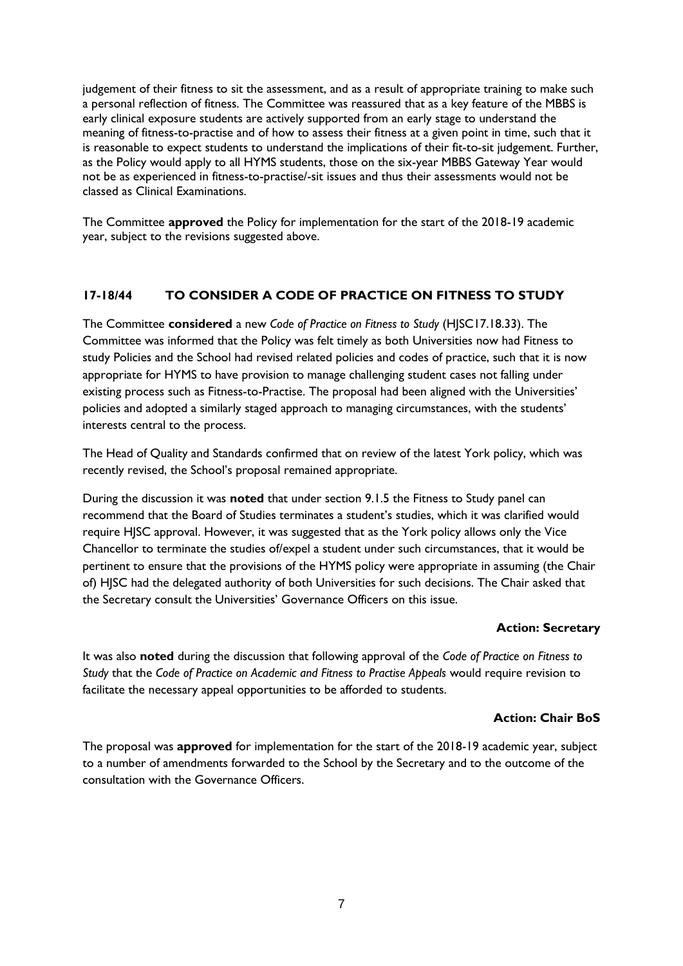judgement of their fitness to sit the assessment, and as a result of appropriate training to make such a personal reflection of fitness. The Committee was reassured that as a key feature of the MBBS is early clinical exposure students are actively supported from an early stage to understand the meaning of fitness-to-practise and of how to assess their fitness at a given point in time, such that it is reasonable to expect students to understand the implications of their fit-to-sit judgement. Further, as the Policy would apply to all HYMS students, those on the six-year MBBS Gateway Year would not be as experienced in fitness-to-practise/-sit issues and thus their assessments would not be classed as Clinical Examinations.

The Committee **approved** the Policy for implementation for the start of the 2018-19 academic year, subject to the revisions suggested above.

### **17-18/44 TO CONSIDER A CODE OF PRACTICE ON FITNESS TO STUDY**

The Committee **considered** a new *Code of Practice on Fitness to Study* (HJSC17.18.33). The Committee was informed that the Policy was felt timely as both Universities now had Fitness to study Policies and the School had revised related policies and codes of practice, such that it is now appropriate for HYMS to have provision to manage challenging student cases not falling under existing process such as Fitness-to-Practise. The proposal had been aligned with the Universities' policies and adopted a similarly staged approach to managing circumstances, with the students' interests central to the process.

The Head of Quality and Standards confirmed that on review of the latest York policy, which was recently revised, the School's proposal remained appropriate.

During the discussion it was **noted** that under section 9.1.5 the Fitness to Study panel can recommend that the Board of Studies terminates a student's studies, which it was clarified would require HJSC approval. However, it was suggested that as the York policy allows only the Vice Chancellor to terminate the studies of/expel a student under such circumstances, that it would be pertinent to ensure that the provisions of the HYMS policy were appropriate in assuming (the Chair of) HJSC had the delegated authority of both Universities for such decisions. The Chair asked that the Secretary consult the Universities' Governance Officers on this issue.

### **Action: Secretary**

It was also **noted** during the discussion that following approval of the *Code of Practice on Fitness to Study* that the *Code of Practice on Academic and Fitness to Practise Appeals* would require revision to facilitate the necessary appeal opportunities to be afforded to students.

### **Action: Chair BoS**

The proposal was **approved** for implementation for the start of the 2018-19 academic year, subject to a number of amendments forwarded to the School by the Secretary and to the outcome of the consultation with the Governance Officers.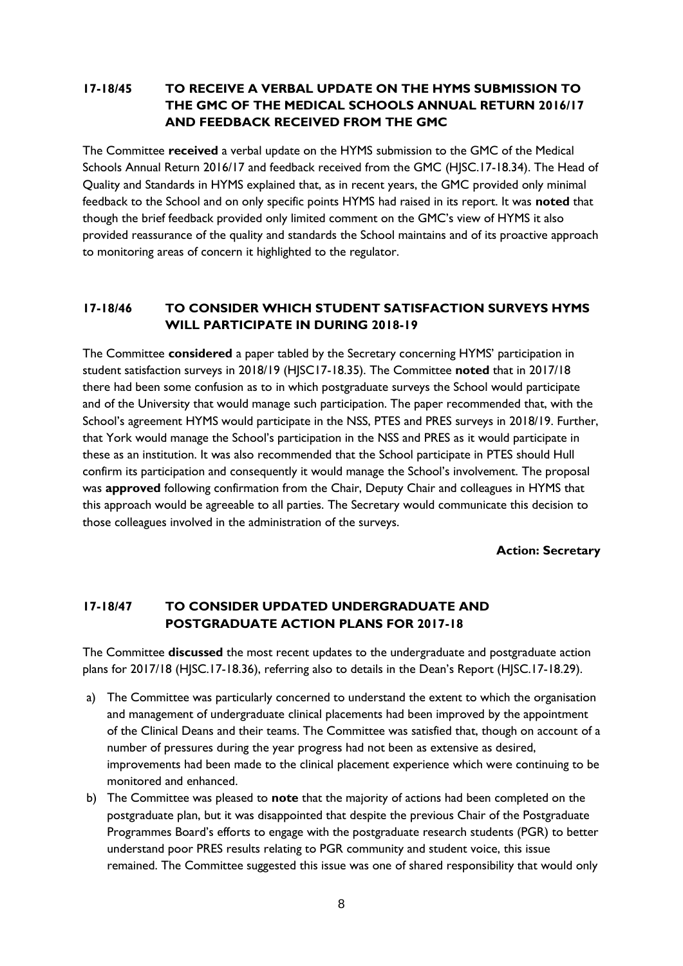## **17-18/45 TO RECEIVE A VERBAL UPDATE ON THE HYMS SUBMISSION TO THE GMC OF THE MEDICAL SCHOOLS ANNUAL RETURN 2016/17 AND FEEDBACK RECEIVED FROM THE GMC**

The Committee **received** a verbal update on the HYMS submission to the GMC of the Medical Schools Annual Return 2016/17 and feedback received from the GMC (HJSC.17-18.34). The Head of Quality and Standards in HYMS explained that, as in recent years, the GMC provided only minimal feedback to the School and on only specific points HYMS had raised in its report. It was **noted** that though the brief feedback provided only limited comment on the GMC's view of HYMS it also provided reassurance of the quality and standards the School maintains and of its proactive approach to monitoring areas of concern it highlighted to the regulator.

### **17-18/46 TO CONSIDER WHICH STUDENT SATISFACTION SURVEYS HYMS WILL PARTICIPATE IN DURING 2018-19**

The Committee **considered** a paper tabled by the Secretary concerning HYMS' participation in student satisfaction surveys in 2018/19 (HJSC17-18.35). The Committee **noted** that in 2017/18 there had been some confusion as to in which postgraduate surveys the School would participate and of the University that would manage such participation. The paper recommended that, with the School's agreement HYMS would participate in the NSS, PTES and PRES surveys in 2018/19. Further, that York would manage the School's participation in the NSS and PRES as it would participate in these as an institution. It was also recommended that the School participate in PTES should Hull confirm its participation and consequently it would manage the School's involvement. The proposal was **approved** following confirmation from the Chair, Deputy Chair and colleagues in HYMS that this approach would be agreeable to all parties. The Secretary would communicate this decision to those colleagues involved in the administration of the surveys.

**Action: Secretary**

## **17-18/47 TO CONSIDER UPDATED UNDERGRADUATE AND POSTGRADUATE ACTION PLANS FOR 2017-18**

The Committee **discussed** the most recent updates to the undergraduate and postgraduate action plans for 2017/18 (HJSC.17-18.36), referring also to details in the Dean's Report (HJSC.17-18.29).

- a) The Committee was particularly concerned to understand the extent to which the organisation and management of undergraduate clinical placements had been improved by the appointment of the Clinical Deans and their teams. The Committee was satisfied that, though on account of a number of pressures during the year progress had not been as extensive as desired, improvements had been made to the clinical placement experience which were continuing to be monitored and enhanced.
- b) The Committee was pleased to **note** that the majority of actions had been completed on the postgraduate plan, but it was disappointed that despite the previous Chair of the Postgraduate Programmes Board's efforts to engage with the postgraduate research students (PGR) to better understand poor PRES results relating to PGR community and student voice, this issue remained. The Committee suggested this issue was one of shared responsibility that would only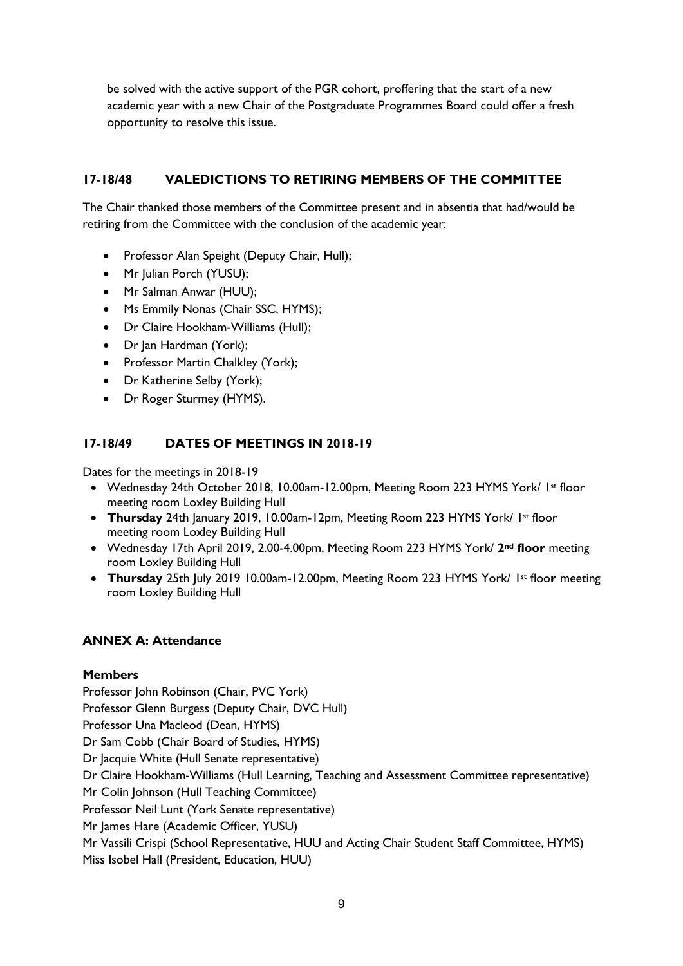be solved with the active support of the PGR cohort, proffering that the start of a new academic year with a new Chair of the Postgraduate Programmes Board could offer a fresh opportunity to resolve this issue.

## **17-18/48 VALEDICTIONS TO RETIRING MEMBERS OF THE COMMITTEE**

The Chair thanked those members of the Committee present and in absentia that had/would be retiring from the Committee with the conclusion of the academic year:

- Professor Alan Speight (Deputy Chair, Hull);
- Mr Julian Porch (YUSU);
- Mr Salman Anwar (HUU);
- Ms Emmily Nonas (Chair SSC, HYMS);
- Dr Claire Hookham-Williams (Hull);
- Dr Jan Hardman (York);
- Professor Martin Chalkley (York);
- Dr Katherine Selby (York);
- Dr Roger Sturmey (HYMS).

## **17-18/49 DATES OF MEETINGS IN 2018-19**

Dates for the meetings in 2018-19

- Wednesday 24th October 2018, 10.00am-12.00pm, Meeting Room 223 HYMS York/ 1st floor meeting room Loxley Building Hull
- **Thursday** 24th January 2019, 10.00am-12pm, Meeting Room 223 HYMS York/ 1st floor meeting room Loxley Building Hull
- Wednesday 17th April 2019, 2.00-4.00pm, Meeting Room 223 HYMS York/ **2nd floor** meeting room Loxley Building Hull
- **Thursday** 25th July 2019 10.00am-12.00pm, Meeting Room 223 HYMS York/ 1st floo**r** meeting room Loxley Building Hull

## **ANNEX A: Attendance**

### **Members**

Professor John Robinson (Chair, PVC York) Professor Glenn Burgess (Deputy Chair, DVC Hull) Professor Una Macleod (Dean, HYMS) Dr Sam Cobb (Chair Board of Studies, HYMS) Dr Jacquie White (Hull Senate representative) Dr Claire Hookham-Williams (Hull Learning, Teaching and Assessment Committee representative) Mr Colin Johnson (Hull Teaching Committee) Professor Neil Lunt (York Senate representative) Mr James Hare (Academic Officer, YUSU) Mr Vassili Crispi (School Representative, HUU and Acting Chair Student Staff Committee, HYMS) Miss Isobel Hall (President, Education, HUU)